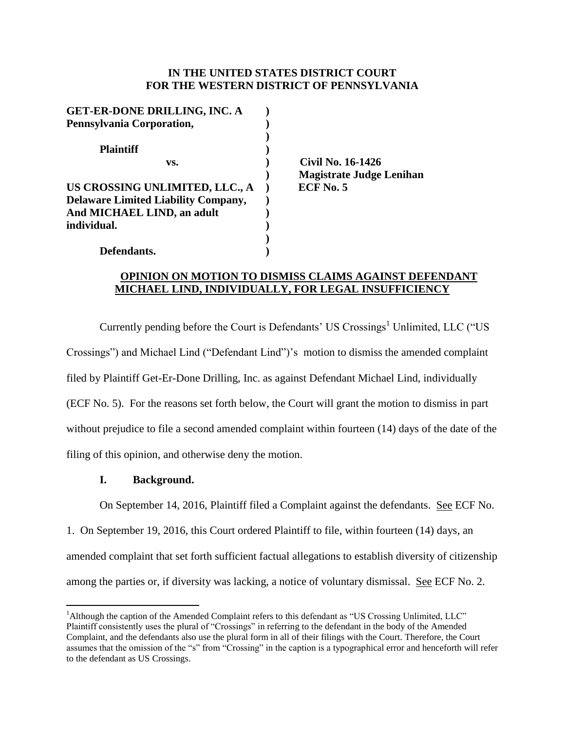# **IN THE UNITED STATES DISTRICT COURT FOR THE WESTERN DISTRICT OF PENNSYLVANIA**

| <b>GET-ER-DONE DRILLING, INC. A</b>                                                                        |  |
|------------------------------------------------------------------------------------------------------------|--|
| Pennsylvania Corporation,                                                                                  |  |
| <b>Plaintiff</b>                                                                                           |  |
| VS.                                                                                                        |  |
| US CROSSING UNLIMITED, LLC., A<br><b>Delaware Limited Liability Company,</b><br>And MICHAEL LIND, an adult |  |
| individual.                                                                                                |  |

**Defendants. )**

**vs. ) Civil No. 16-1426 ) Magistrate Judge Lenihan ECF No. 5** 

# **OPINION ON MOTION TO DISMISS CLAIMS AGAINST DEFENDANT MICHAEL LIND, INDIVIDUALLY, FOR LEGAL INSUFFICIENCY**

Currently pending before the Court is Defendants' US Crossings<sup>1</sup> Unlimited, LLC ("US Crossings") and Michael Lind ("Defendant Lind")'s motion to dismiss the amended complaint filed by Plaintiff Get-Er-Done Drilling, Inc. as against Defendant Michael Lind, individually (ECF No. 5). For the reasons set forth below, the Court will grant the motion to dismiss in part without prejudice to file a second amended complaint within fourteen (14) days of the date of the filing of this opinion, and otherwise deny the motion.

# **I. Background.**

 $\overline{a}$ 

On September 14, 2016, Plaintiff filed a Complaint against the defendants. See ECF No.

1. On September 19, 2016, this Court ordered Plaintiff to file, within fourteen (14) days, an amended complaint that set forth sufficient factual allegations to establish diversity of citizenship among the parties or, if diversity was lacking, a notice of voluntary dismissal. See ECF No. 2.

<sup>&</sup>lt;sup>1</sup>Although the caption of the Amended Complaint refers to this defendant as "US Crossing Unlimited, LLC" Plaintiff consistently uses the plural of "Crossings" in referring to the defendant in the body of the Amended Complaint, and the defendants also use the plural form in all of their filings with the Court. Therefore, the Court assumes that the omission of the "s" from "Crossing" in the caption is a typographical error and henceforth will refer to the defendant as US Crossings.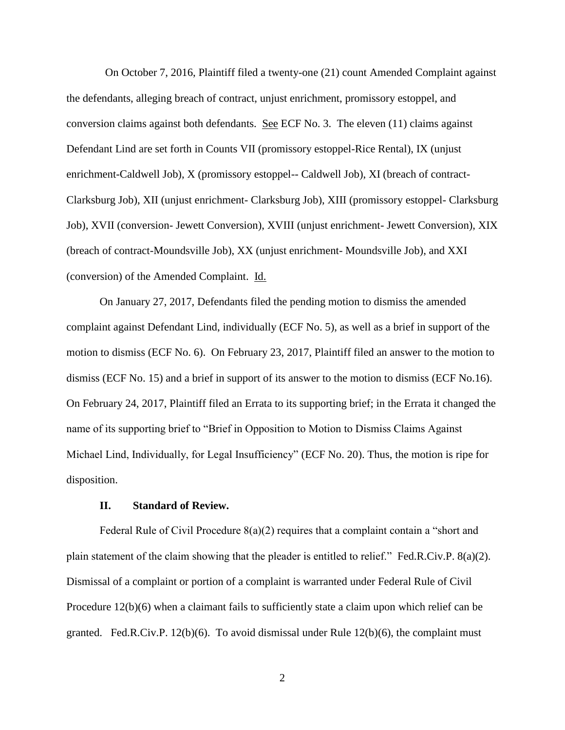On October 7, 2016, Plaintiff filed a twenty-one (21) count Amended Complaint against the defendants, alleging breach of contract, unjust enrichment, promissory estoppel, and conversion claims against both defendants. See ECF No. 3. The eleven (11) claims against Defendant Lind are set forth in Counts VII (promissory estoppel-Rice Rental), IX (unjust enrichment-Caldwell Job), X (promissory estoppel-- Caldwell Job), XI (breach of contract-Clarksburg Job), XII (unjust enrichment- Clarksburg Job), XIII (promissory estoppel- Clarksburg Job), XVII (conversion- Jewett Conversion), XVIII (unjust enrichment- Jewett Conversion), XIX (breach of contract-Moundsville Job), XX (unjust enrichment- Moundsville Job), and XXI (conversion) of the Amended Complaint. Id.

On January 27, 2017, Defendants filed the pending motion to dismiss the amended complaint against Defendant Lind, individually (ECF No. 5), as well as a brief in support of the motion to dismiss (ECF No. 6). On February 23, 2017, Plaintiff filed an answer to the motion to dismiss (ECF No. 15) and a brief in support of its answer to the motion to dismiss (ECF No.16). On February 24, 2017, Plaintiff filed an Errata to its supporting brief; in the Errata it changed the name of its supporting brief to "Brief in Opposition to Motion to Dismiss Claims Against Michael Lind, Individually, for Legal Insufficiency" (ECF No. 20). Thus, the motion is ripe for disposition.

# **II. Standard of Review.**

Federal Rule of Civil Procedure 8(a)(2) requires that a complaint contain a "short and plain statement of the claim showing that the pleader is entitled to relief." Fed.R.Civ.P. 8(a)(2). Dismissal of a complaint or portion of a complaint is warranted under Federal Rule of Civil Procedure 12(b)(6) when a claimant fails to sufficiently state a claim upon which relief can be granted. Fed.R.Civ.P.  $12(b)(6)$ . To avoid dismissal under Rule  $12(b)(6)$ , the complaint must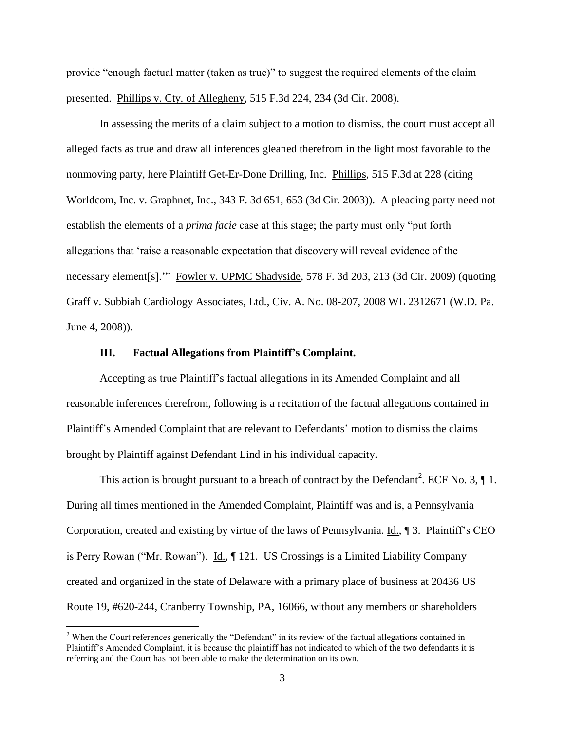provide "enough factual matter (taken as true)" to suggest the required elements of the claim presented. Phillips v. Cty. of Allegheny, 515 F.3d 224, 234 (3d Cir. 2008).

In assessing the merits of a claim subject to a motion to dismiss, the court must accept all alleged facts as true and draw all inferences gleaned therefrom in the light most favorable to the nonmoving party, here Plaintiff Get-Er-Done Drilling, Inc. Phillips, 515 F.3d at 228 (citing Worldcom, Inc. v. Graphnet, Inc., 343 F. 3d 651, 653 (3d Cir. 2003)). A pleading party need not establish the elements of a *prima facie* case at this stage; the party must only "put forth allegations that 'raise a reasonable expectation that discovery will reveal evidence of the necessary element[s].'" Fowler v. UPMC Shadyside, 578 F. 3d 203, 213 (3d Cir. 2009) (quoting Graff v. Subbiah Cardiology Associates, Ltd., Civ. A. No. 08-207, 2008 WL 2312671 (W.D. Pa. June 4, 2008)).

### **III. Factual Allegations from Plaintiff's Complaint.**

Accepting as true Plaintiff's factual allegations in its Amended Complaint and all reasonable inferences therefrom, following is a recitation of the factual allegations contained in Plaintiff's Amended Complaint that are relevant to Defendants' motion to dismiss the claims brought by Plaintiff against Defendant Lind in his individual capacity.

This action is brought pursuant to a breach of contract by the Defendant<sup>2</sup>. ECF No. 3,  $\P$ 1. During all times mentioned in the Amended Complaint, Plaintiff was and is, a Pennsylvania Corporation, created and existing by virtue of the laws of Pennsylvania. Id., 13. Plaintiff's CEO is Perry Rowan ("Mr. Rowan"). Id.,  $\P$  121. US Crossings is a Limited Liability Company created and organized in the state of Delaware with a primary place of business at 20436 US Route 19, #620-244, Cranberry Township, PA, 16066, without any members or shareholders

 $\overline{a}$ 

<sup>&</sup>lt;sup>2</sup> When the Court references generically the "Defendant" in its review of the factual allegations contained in Plaintiff's Amended Complaint, it is because the plaintiff has not indicated to which of the two defendants it is referring and the Court has not been able to make the determination on its own.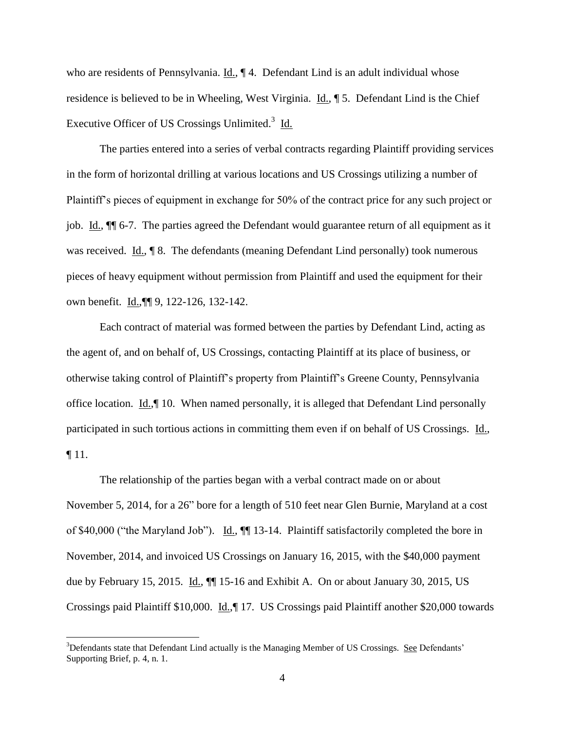who are residents of Pennsylvania. Id.,  $\P$  4. Defendant Lind is an adult individual whose residence is believed to be in Wheeling, West Virginia. Id., ¶ 5. Defendant Lind is the Chief Executive Officer of US Crossings Unlimited.<sup>3</sup> Id.

The parties entered into a series of verbal contracts regarding Plaintiff providing services in the form of horizontal drilling at various locations and US Crossings utilizing a number of Plaintiff's pieces of equipment in exchange for 50% of the contract price for any such project or job. Id., ¶¶ 6-7. The parties agreed the Defendant would guarantee return of all equipment as it was received. Id., ¶ 8. The defendants (meaning Defendant Lind personally) took numerous pieces of heavy equipment without permission from Plaintiff and used the equipment for their own benefit. Id.,¶¶ 9, 122-126, 132-142.

Each contract of material was formed between the parties by Defendant Lind, acting as the agent of, and on behalf of, US Crossings, contacting Plaintiff at its place of business, or otherwise taking control of Plaintiff's property from Plaintiff's Greene County, Pennsylvania office location. Id., || 10. When named personally, it is alleged that Defendant Lind personally participated in such tortious actions in committing them even if on behalf of US Crossings. Id., ¶ 11.

The relationship of the parties began with a verbal contract made on or about November 5, 2014, for a 26" bore for a length of 510 feet near Glen Burnie, Maryland at a cost of \$40,000 ("the Maryland Job"). Id.,  $\P$  13-14. Plaintiff satisfactorily completed the bore in November, 2014, and invoiced US Crossings on January 16, 2015, with the \$40,000 payment due by February 15, 2015. Id.,  $\P$  15-16 and Exhibit A. On or about January 30, 2015, US Crossings paid Plaintiff \$10,000. Id.,¶ 17. US Crossings paid Plaintiff another \$20,000 towards

 $\overline{a}$ 

 $3$ Defendants state that Defendant Lind actually is the Managing Member of US Crossings. See Defendants' Supporting Brief, p. 4, n. 1.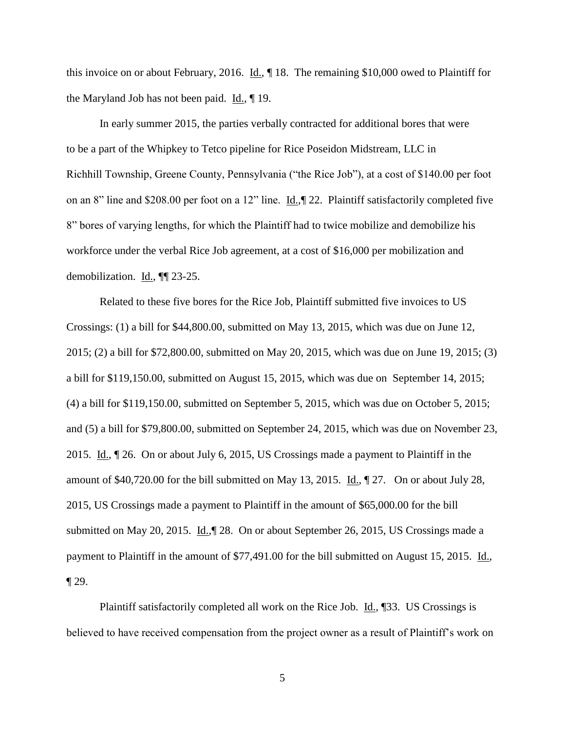this invoice on or about February, 2016. Id., ¶ 18. The remaining \$10,000 owed to Plaintiff for the Maryland Job has not been paid. Id., ¶ 19.

In early summer 2015, the parties verbally contracted for additional bores that were to be a part of the Whipkey to Tetco pipeline for Rice Poseidon Midstream, LLC in Richhill Township, Greene County, Pennsylvania ("the Rice Job"), at a cost of \$140.00 per foot on an 8" line and \$208.00 per foot on a 12" line. Id.,¶ 22. Plaintiff satisfactorily completed five 8" bores of varying lengths, for which the Plaintiff had to twice mobilize and demobilize his workforce under the verbal Rice Job agreement, at a cost of \$16,000 per mobilization and demobilization. Id., ¶¶ 23-25.

Related to these five bores for the Rice Job, Plaintiff submitted five invoices to US Crossings: (1) a bill for \$44,800.00, submitted on May 13, 2015, which was due on June 12, 2015; (2) a bill for \$72,800.00, submitted on May 20, 2015, which was due on June 19, 2015; (3) a bill for \$119,150.00, submitted on August 15, 2015, which was due on September 14, 2015; (4) a bill for \$119,150.00, submitted on September 5, 2015, which was due on October 5, 2015; and (5) a bill for \$79,800.00, submitted on September 24, 2015, which was due on November 23, 2015. Id., ¶ 26. On or about July 6, 2015, US Crossings made a payment to Plaintiff in the amount of \$40,720.00 for the bill submitted on May 13, 2015. Id., ¶ 27. On or about July 28, 2015, US Crossings made a payment to Plaintiff in the amount of \$65,000.00 for the bill submitted on May 20, 2015. Id., 128. On or about September 26, 2015, US Crossings made a payment to Plaintiff in the amount of \$77,491.00 for the bill submitted on August 15, 2015. Id.,  $\P$  29.

Plaintiff satisfactorily completed all work on the Rice Job. Id., ¶33. US Crossings is believed to have received compensation from the project owner as a result of Plaintiff's work on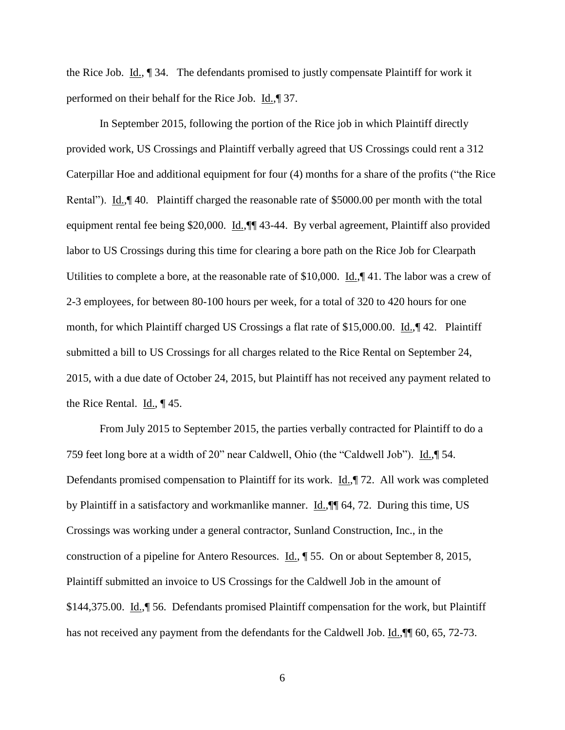the Rice Job. Id., ¶ 34. The defendants promised to justly compensate Plaintiff for work it performed on their behalf for the Rice Job. Id.,¶ 37.

In September 2015, following the portion of the Rice job in which Plaintiff directly provided work, US Crossings and Plaintiff verbally agreed that US Crossings could rent a 312 Caterpillar Hoe and additional equipment for four (4) months for a share of the profits ("the Rice Rental"). Id., [940. Plaintiff charged the reasonable rate of \$5000.00 per month with the total equipment rental fee being \$20,000. Id.,  $\P$  43-44. By verbal agreement, Plaintiff also provided labor to US Crossings during this time for clearing a bore path on the Rice Job for Clearpath Utilities to complete a bore, at the reasonable rate of \$10,000. Id., 41. The labor was a crew of 2-3 employees, for between 80-100 hours per week, for a total of 320 to 420 hours for one month, for which Plaintiff charged US Crossings a flat rate of \$15,000.00. Id.,¶ 42. Plaintiff submitted a bill to US Crossings for all charges related to the Rice Rental on September 24, 2015, with a due date of October 24, 2015, but Plaintiff has not received any payment related to the Rice Rental. Id., ¶ 45.

From July 2015 to September 2015, the parties verbally contracted for Plaintiff to do a 759 feet long bore at a width of 20" near Caldwell, Ohio (the "Caldwell Job"). Id.,¶ 54. Defendants promised compensation to Plaintiff for its work. Id.,¶ 72. All work was completed by Plaintiff in a satisfactory and workmanlike manner. Id., [[1] 64, 72. During this time, US Crossings was working under a general contractor, Sunland Construction, Inc., in the construction of a pipeline for Antero Resources. Id., ¶ 55. On or about September 8, 2015, Plaintiff submitted an invoice to US Crossings for the Caldwell Job in the amount of \$144,375.00. Id.,¶ 56. Defendants promised Plaintiff compensation for the work, but Plaintiff has not received any payment from the defendants for the Caldwell Job. Id.,  $\parallel$  60, 65, 72-73.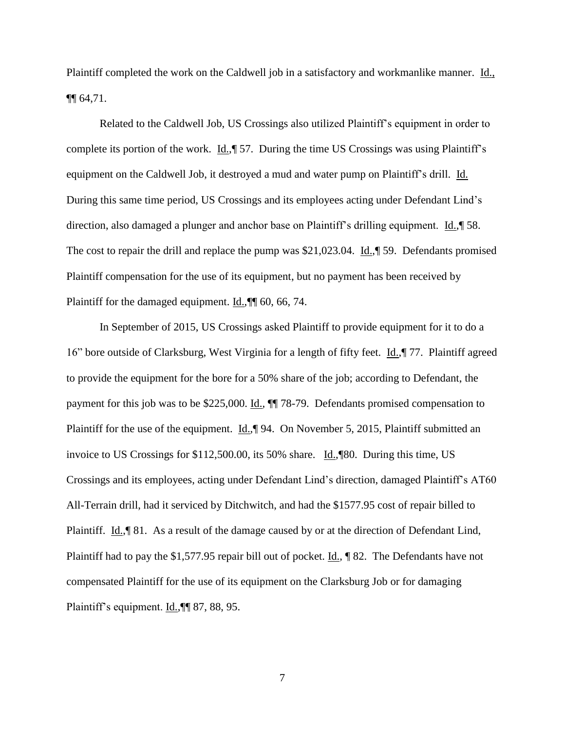Plaintiff completed the work on the Caldwell job in a satisfactory and workmanlike manner. Id., ¶¶ 64,71.

Related to the Caldwell Job, US Crossings also utilized Plaintiff's equipment in order to complete its portion of the work. Id.,¶ 57. During the time US Crossings was using Plaintiff's equipment on the Caldwell Job, it destroyed a mud and water pump on Plaintiff's drill. Id. During this same time period, US Crossings and its employees acting under Defendant Lind's direction, also damaged a plunger and anchor base on Plaintiff's drilling equipment. Id.,¶ 58. The cost to repair the drill and replace the pump was \$21,023.04. Id.,¶ 59. Defendants promised Plaintiff compensation for the use of its equipment, but no payment has been received by Plaintiff for the damaged equipment. Id.,¶¶ 60, 66, 74.

In September of 2015, US Crossings asked Plaintiff to provide equipment for it to do a 16" bore outside of Clarksburg, West Virginia for a length of fifty feet. Id.,¶ 77. Plaintiff agreed to provide the equipment for the bore for a 50% share of the job; according to Defendant, the payment for this job was to be \$225,000. Id., ¶¶ 78-79. Defendants promised compensation to Plaintiff for the use of the equipment. Id., [94. On November 5, 2015, Plaintiff submitted an invoice to US Crossings for \$112,500.00, its 50% share. Id.,¶80. During this time, US Crossings and its employees, acting under Defendant Lind's direction, damaged Plaintiff's AT60 All-Terrain drill, had it serviced by Ditchwitch, and had the \$1577.95 cost of repair billed to Plaintiff. Id., <sup>181</sup>. As a result of the damage caused by or at the direction of Defendant Lind, Plaintiff had to pay the \$1,577.95 repair bill out of pocket. Id., ¶ 82. The Defendants have not compensated Plaintiff for the use of its equipment on the Clarksburg Job or for damaging Plaintiff's equipment. Id., <sup>[6]</sup> 87, 88, 95.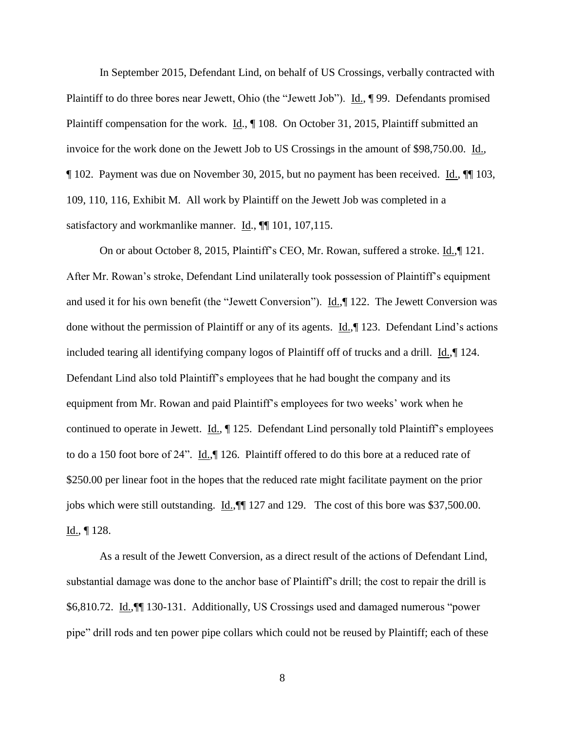In September 2015, Defendant Lind, on behalf of US Crossings, verbally contracted with Plaintiff to do three bores near Jewett, Ohio (the "Jewett Job"). Id., ¶ 99. Defendants promised Plaintiff compensation for the work. Id., ¶ 108. On October 31, 2015, Plaintiff submitted an invoice for the work done on the Jewett Job to US Crossings in the amount of \$98,750.00. Id., ¶ 102. Payment was due on November 30, 2015, but no payment has been received. Id., ¶¶ 103, 109, 110, 116, Exhibit M. All work by Plaintiff on the Jewett Job was completed in a satisfactory and workmanlike manner. Id.,  $\P$  101, 107, 115.

On or about October 8, 2015, Plaintiff's CEO, Mr. Rowan, suffered a stroke. Id., | 121. After Mr. Rowan's stroke, Defendant Lind unilaterally took possession of Plaintiff's equipment and used it for his own benefit (the "Jewett Conversion"). Id.,¶ 122. The Jewett Conversion was done without the permission of Plaintiff or any of its agents. Id.,¶ 123. Defendant Lind's actions included tearing all identifying company logos of Plaintiff off of trucks and a drill. Id.,¶ 124. Defendant Lind also told Plaintiff's employees that he had bought the company and its equipment from Mr. Rowan and paid Plaintiff's employees for two weeks' work when he continued to operate in Jewett. Id.,  $\parallel$  125. Defendant Lind personally told Plaintiff's employees to do a 150 foot bore of 24". Id.,¶ 126. Plaintiff offered to do this bore at a reduced rate of \$250.00 per linear foot in the hopes that the reduced rate might facilitate payment on the prior jobs which were still outstanding. Id.,¶¶ 127 and 129. The cost of this bore was \$37,500.00. Id.,  $\P$  128.

As a result of the Jewett Conversion, as a direct result of the actions of Defendant Lind, substantial damage was done to the anchor base of Plaintiff's drill; the cost to repair the drill is \$6,810.72. Id.,¶¶ 130-131. Additionally, US Crossings used and damaged numerous "power pipe" drill rods and ten power pipe collars which could not be reused by Plaintiff; each of these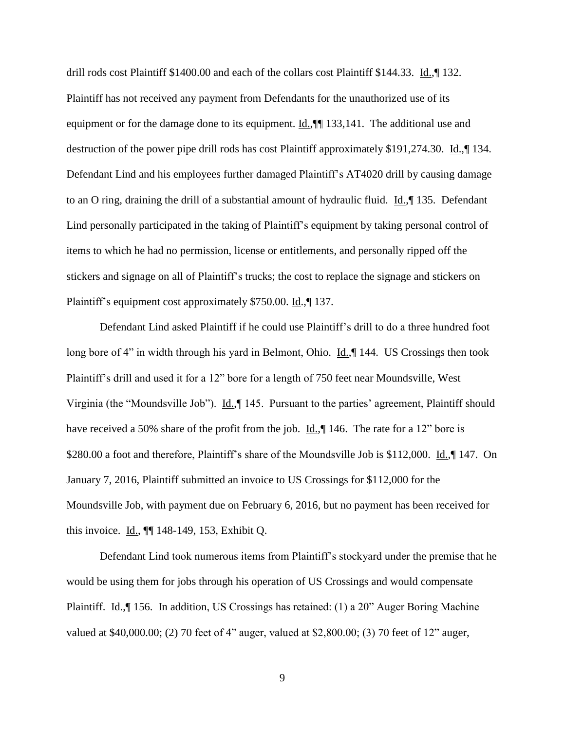drill rods cost Plaintiff \$1400.00 and each of the collars cost Plaintiff \$144.33. Id.,¶ 132. Plaintiff has not received any payment from Defendants for the unauthorized use of its equipment or for the damage done to its equipment. Id.,¶¶ 133,141. The additional use and destruction of the power pipe drill rods has cost Plaintiff approximately \$191,274.30. Id.,¶ 134. Defendant Lind and his employees further damaged Plaintiff's AT4020 drill by causing damage to an O ring, draining the drill of a substantial amount of hydraulic fluid. Id.,¶ 135. Defendant Lind personally participated in the taking of Plaintiff's equipment by taking personal control of items to which he had no permission, license or entitlements, and personally ripped off the stickers and signage on all of Plaintiff's trucks; the cost to replace the signage and stickers on Plaintiff's equipment cost approximately \$750.00. Id.,¶ 137.

Defendant Lind asked Plaintiff if he could use Plaintiff's drill to do a three hundred foot long bore of 4" in width through his yard in Belmont, Ohio. Id.,¶ 144. US Crossings then took Plaintiff's drill and used it for a 12" bore for a length of 750 feet near Moundsville, West Virginia (the "Moundsville Job"). Id.,¶ 145. Pursuant to the parties' agreement, Plaintiff should have received a 50% share of the profit from the job.  $\underline{Id.}$ , 146. The rate for a 12" bore is \$280.00 a foot and therefore, Plaintiff's share of the Moundsville Job is \$112,000. Id., 147. On January 7, 2016, Plaintiff submitted an invoice to US Crossings for \$112,000 for the Moundsville Job, with payment due on February 6, 2016, but no payment has been received for this invoice. Id., ¶¶ 148-149, 153, Exhibit Q.

Defendant Lind took numerous items from Plaintiff's stockyard under the premise that he would be using them for jobs through his operation of US Crossings and would compensate Plaintiff. Id.,¶ 156. In addition, US Crossings has retained: (1) a 20" Auger Boring Machine valued at \$40,000.00; (2) 70 feet of 4" auger, valued at \$2,800.00; (3) 70 feet of 12" auger,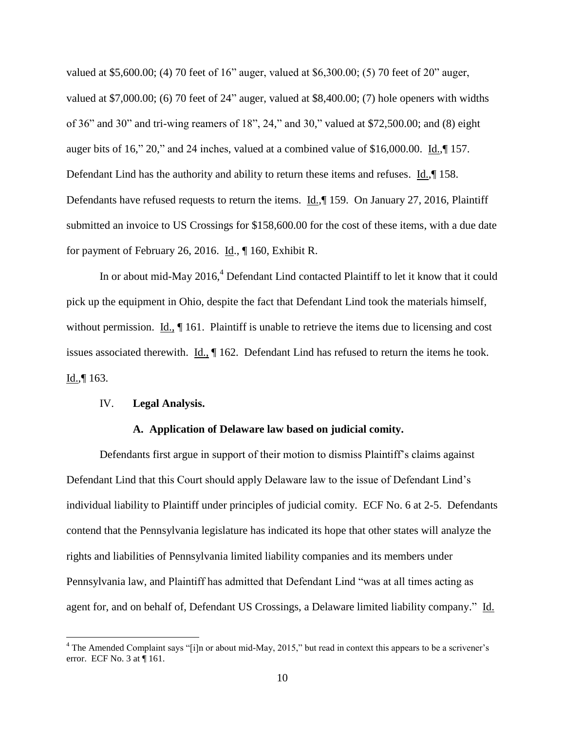valued at \$5,600.00; (4) 70 feet of 16" auger, valued at \$6,300.00; (5) 70 feet of 20" auger, valued at \$7,000.00; (6) 70 feet of 24" auger, valued at \$8,400.00; (7) hole openers with widths of 36" and 30" and tri-wing reamers of 18", 24," and 30," valued at \$72,500.00; and (8) eight auger bits of 16," 20," and 24 inches, valued at a combined value of \$16,000.00. Id.,¶ 157. Defendant Lind has the authority and ability to return these items and refuses. Id.,¶ 158. Defendants have refused requests to return the items. Id.,¶ 159. On January 27, 2016, Plaintiff submitted an invoice to US Crossings for \$158,600.00 for the cost of these items, with a due date for payment of February 26, 2016. Id., ¶ 160, Exhibit R.

In or about mid-May  $2016<sup>4</sup>$  Defendant Lind contacted Plaintiff to let it know that it could pick up the equipment in Ohio, despite the fact that Defendant Lind took the materials himself, without permission. Id.,  $\P$  161. Plaintiff is unable to retrieve the items due to licensing and cost issues associated therewith. Id., ¶ 162. Defendant Lind has refused to return the items he took.  $Id., \P 163.$ 

### IV. **Legal Analysis.**

 $\overline{a}$ 

## **A. Application of Delaware law based on judicial comity.**

Defendants first argue in support of their motion to dismiss Plaintiff's claims against Defendant Lind that this Court should apply Delaware law to the issue of Defendant Lind's individual liability to Plaintiff under principles of judicial comity. ECF No. 6 at 2-5. Defendants contend that the Pennsylvania legislature has indicated its hope that other states will analyze the rights and liabilities of Pennsylvania limited liability companies and its members under Pennsylvania law, and Plaintiff has admitted that Defendant Lind "was at all times acting as agent for, and on behalf of, Defendant US Crossings, a Delaware limited liability company." Id.

 $4$  The Amended Complaint says "[i]n or about mid-May, 2015," but read in context this appears to be a scrivener's error. ECF No. 3 at ¶ 161.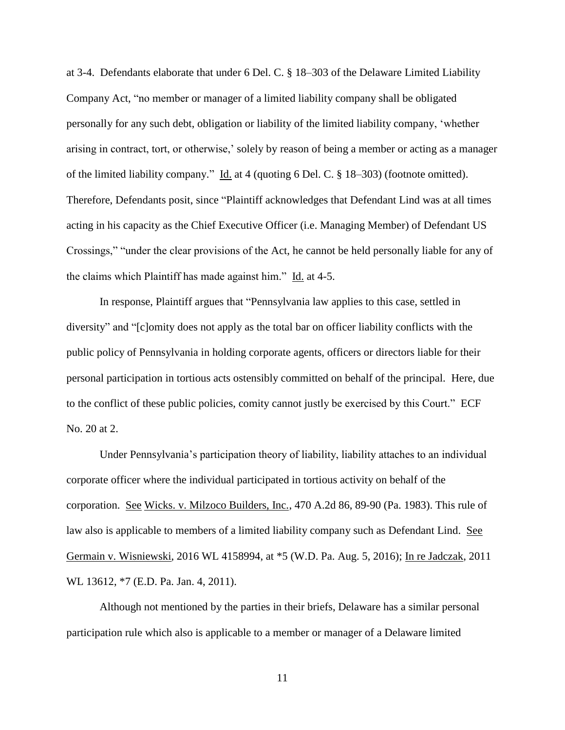at 3-4. Defendants elaborate that under 6 Del. C. § 18–303 of the Delaware Limited Liability Company Act, "no member or manager of a limited liability company shall be obligated personally for any such debt, obligation or liability of the limited liability company, 'whether arising in contract, tort, or otherwise,' solely by reason of being a member or acting as a manager of the limited liability company." Id. at 4 (quoting 6 Del. C. § 18–303) (footnote omitted). Therefore, Defendants posit, since "Plaintiff acknowledges that Defendant Lind was at all times acting in his capacity as the Chief Executive Officer (i.e. Managing Member) of Defendant US Crossings," "under the clear provisions of the Act, he cannot be held personally liable for any of the claims which Plaintiff has made against him." Id. at 4-5.

In response, Plaintiff argues that "Pennsylvania law applies to this case, settled in diversity" and "[c]omity does not apply as the total bar on officer liability conflicts with the public policy of Pennsylvania in holding corporate agents, officers or directors liable for their personal participation in tortious acts ostensibly committed on behalf of the principal. Here, due to the conflict of these public policies, comity cannot justly be exercised by this Court." ECF No. 20 at 2.

Under Pennsylvania's participation theory of liability, liability attaches to an individual corporate officer where the individual participated in tortious activity on behalf of the corporation. See Wicks. v. Milzoco Builders, Inc., 470 A.2d 86, 89-90 (Pa. 1983). This rule of law also is applicable to members of a limited liability company such as Defendant Lind. See Germain v. Wisniewski, 2016 WL 4158994, at \*5 (W.D. Pa. Aug. 5, 2016); In re Jadczak, 2011 WL 13612, \*7 (E.D. Pa. Jan. 4, 2011).

Although not mentioned by the parties in their briefs, Delaware has a similar personal participation rule which also is applicable to a member or manager of a Delaware limited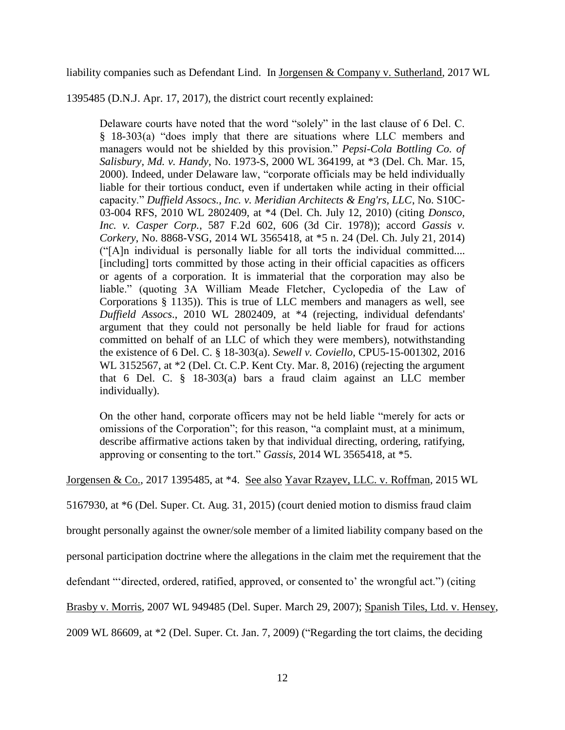liability companies such as Defendant Lind. In Jorgensen & Company v. Sutherland, 2017 WL

1395485 (D.N.J. Apr. 17, 2017), the district court recently explained:

Delaware courts have noted that the word "solely" in the last clause of 6 Del. C. § 18-303(a) "does imply that there are situations where LLC members and managers would not be shielded by this provision." *Pepsi-Cola Bottling Co. of Salisbury, Md. v. Handy*, No. 1973-S, 2000 WL 364199, at \*3 (Del. Ch. Mar. 15, 2000). Indeed, under Delaware law, "corporate officials may be held individually liable for their tortious conduct, even if undertaken while acting in their official capacity." *Duffield Assocs., Inc. v. Meridian Architects & Eng'rs, LLC*, No. S10C-03-004 RFS, 2010 WL 2802409, at \*4 (Del. Ch. July 12, 2010) (citing *Donsco, Inc. v. Casper Corp.*, 587 F.2d 602, 606 (3d Cir. 1978)); accord *Gassis v. Corkery*, No. 8868-VSG, 2014 WL 3565418, at \*5 n. 24 (Del. Ch. July 21, 2014) ("[A]n individual is personally liable for all torts the individual committed.... [including] torts committed by those acting in their official capacities as officers or agents of a corporation. It is immaterial that the corporation may also be liable." (quoting 3A William Meade Fletcher, Cyclopedia of the Law of Corporations § 1135)). This is true of LLC members and managers as well, see *Duffield Assocs*., 2010 WL 2802409, at \*4 (rejecting, individual defendants' argument that they could not personally be held liable for fraud for actions committed on behalf of an LLC of which they were members), notwithstanding the existence of 6 Del. C. § 18-303(a). *Sewell v. Coviello*, CPU5-15-001302, 2016 WL 3152567, at  $*2$  (Del. Ct. C.P. Kent Cty. Mar. 8, 2016) (rejecting the argument that 6 Del. C. § 18-303(a) bars a fraud claim against an LLC member individually).

On the other hand, corporate officers may not be held liable "merely for acts or omissions of the Corporation"; for this reason, "a complaint must, at a minimum, describe affirmative actions taken by that individual directing, ordering, ratifying, approving or consenting to the tort." *Gassis*, 2014 WL 3565418, at \*5.

Jorgensen & Co., 2017 1395485, at \*4. See also Yavar Rzayev, LLC. v. Roffman, 2015 WL

5167930, at \*6 (Del. Super. Ct. Aug. 31, 2015) (court denied motion to dismiss fraud claim

brought personally against the owner/sole member of a limited liability company based on the

personal participation doctrine where the allegations in the claim met the requirement that the

defendant "'directed, ordered, ratified, approved, or consented to' the wrongful act.") (citing

Brasby v. Morris, 2007 WL 949485 (Del. Super. March 29, 2007); Spanish Tiles, Ltd. v. Hensey,

2009 WL 86609, at \*2 (Del. Super. Ct. Jan. 7, 2009) ("Regarding the tort claims, the deciding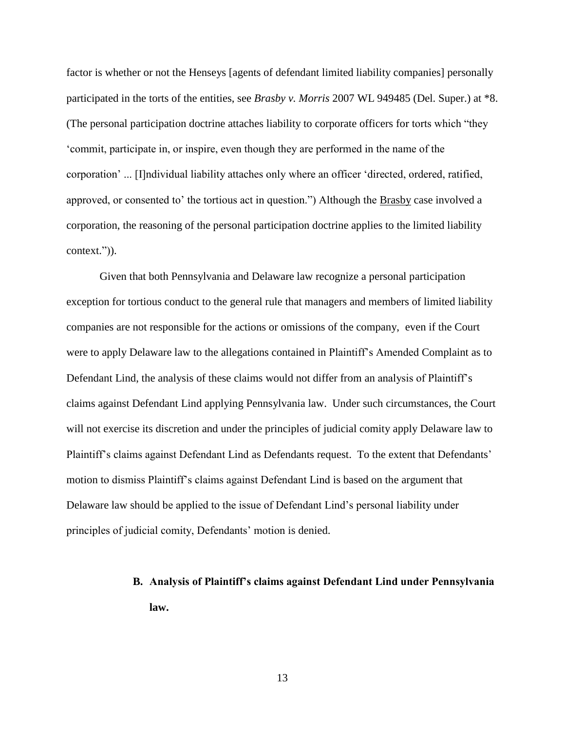factor is whether or not the Henseys [agents of defendant limited liability companies] personally participated in the torts of the entities, see *Brasby v. Morris* 2007 WL 949485 (Del. Super.) at \*8. (The personal participation doctrine attaches liability to corporate officers for torts which "they 'commit, participate in, or inspire, even though they are performed in the name of the corporation' ... [I]ndividual liability attaches only where an officer 'directed, ordered, ratified, approved, or consented to' the tortious act in question.") Although the Brasby case involved a corporation, the reasoning of the personal participation doctrine applies to the limited liability context.")).

Given that both Pennsylvania and Delaware law recognize a personal participation exception for tortious conduct to the general rule that managers and members of limited liability companies are not responsible for the actions or omissions of the company, even if the Court were to apply Delaware law to the allegations contained in Plaintiff's Amended Complaint as to Defendant Lind, the analysis of these claims would not differ from an analysis of Plaintiff's claims against Defendant Lind applying Pennsylvania law. Under such circumstances, the Court will not exercise its discretion and under the principles of judicial comity apply Delaware law to Plaintiff's claims against Defendant Lind as Defendants request. To the extent that Defendants' motion to dismiss Plaintiff's claims against Defendant Lind is based on the argument that Delaware law should be applied to the issue of Defendant Lind's personal liability under principles of judicial comity, Defendants' motion is denied.

# **B. Analysis of Plaintiff's claims against Defendant Lind under Pennsylvania law.**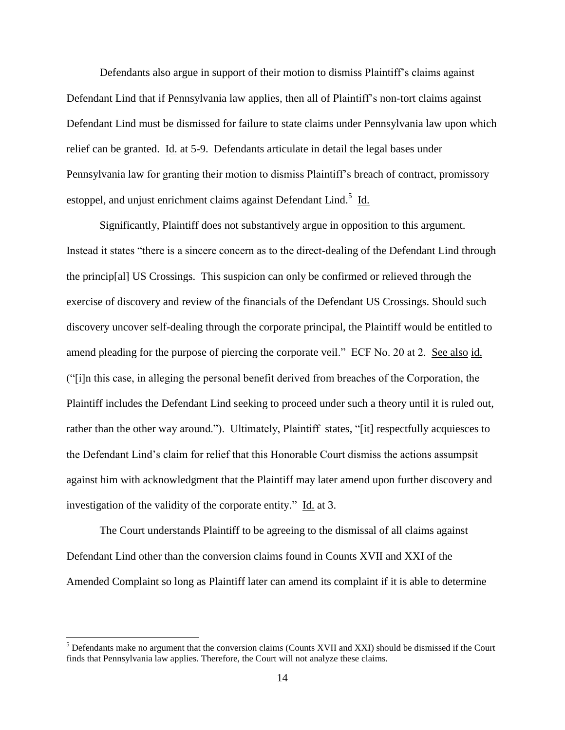Defendants also argue in support of their motion to dismiss Plaintiff's claims against Defendant Lind that if Pennsylvania law applies, then all of Plaintiff's non-tort claims against Defendant Lind must be dismissed for failure to state claims under Pennsylvania law upon which relief can be granted. Id. at 5-9. Defendants articulate in detail the legal bases under Pennsylvania law for granting their motion to dismiss Plaintiff's breach of contract, promissory estoppel, and unjust enrichment claims against Defendant Lind.<sup>5</sup> Id.

Significantly, Plaintiff does not substantively argue in opposition to this argument. Instead it states "there is a sincere concern as to the direct-dealing of the Defendant Lind through the princip[al] US Crossings. This suspicion can only be confirmed or relieved through the exercise of discovery and review of the financials of the Defendant US Crossings. Should such discovery uncover self-dealing through the corporate principal, the Plaintiff would be entitled to amend pleading for the purpose of piercing the corporate veil." ECF No. 20 at 2. See also id. ("[i]n this case, in alleging the personal benefit derived from breaches of the Corporation, the Plaintiff includes the Defendant Lind seeking to proceed under such a theory until it is ruled out, rather than the other way around."). Ultimately, Plaintiff states, "[it] respectfully acquiesces to the Defendant Lind's claim for relief that this Honorable Court dismiss the actions assumpsit against him with acknowledgment that the Plaintiff may later amend upon further discovery and investigation of the validity of the corporate entity." Id. at 3.

The Court understands Plaintiff to be agreeing to the dismissal of all claims against Defendant Lind other than the conversion claims found in Counts XVII and XXI of the Amended Complaint so long as Plaintiff later can amend its complaint if it is able to determine

 $\overline{a}$ 

<sup>&</sup>lt;sup>5</sup> Defendants make no argument that the conversion claims (Counts XVII and XXI) should be dismissed if the Court finds that Pennsylvania law applies. Therefore, the Court will not analyze these claims.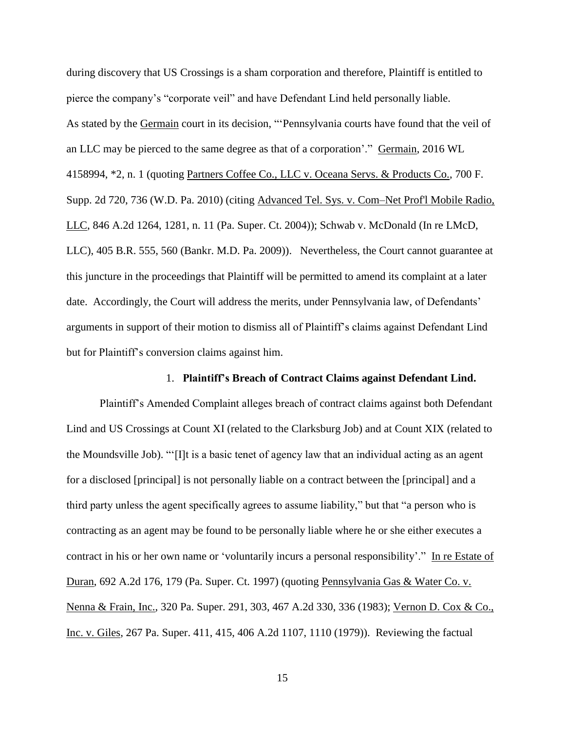during discovery that US Crossings is a sham corporation and therefore, Plaintiff is entitled to pierce the company's "corporate veil" and have Defendant Lind held personally liable. As stated by the Germain court in its decision, "'Pennsylvania courts have found that the veil of an LLC may be pierced to the same degree as that of a corporation'." Germain, 2016 WL 4158994, \*2, n. 1 (quoting Partners Coffee Co., LLC v. Oceana Servs. & Products Co., 700 F. Supp. 2d 720, 736 (W.D. Pa. 2010) (citing Advanced Tel. Sys. v. Com–Net Prof'l Mobile Radio, LLC, 846 A.2d 1264, 1281, n. 11 (Pa. Super. Ct. 2004)); Schwab v. McDonald (In re LMcD, LLC), 405 B.R. 555, 560 (Bankr. M.D. Pa. 2009)). Nevertheless, the Court cannot guarantee at this juncture in the proceedings that Plaintiff will be permitted to amend its complaint at a later date. Accordingly, the Court will address the merits, under Pennsylvania law, of Defendants' arguments in support of their motion to dismiss all of Plaintiff's claims against Defendant Lind but for Plaintiff's conversion claims against him.

## 1. **Plaintiff's Breach of Contract Claims against Defendant Lind.**

Plaintiff's Amended Complaint alleges breach of contract claims against both Defendant Lind and US Crossings at Count XI (related to the Clarksburg Job) and at Count XIX (related to the Moundsville Job). "'[I]t is a basic tenet of agency law that an individual acting as an agent for a disclosed [principal] is not personally liable on a contract between the [principal] and a third party unless the agent specifically agrees to assume liability," but that "a person who is contracting as an agent may be found to be personally liable where he or she either executes a contract in his or her own name or 'voluntarily incurs a personal responsibility'." In re Estate of Duran, 692 A.2d 176, 179 (Pa. Super. Ct. 1997) (quoting Pennsylvania Gas & Water Co. v. Nenna & Frain, Inc., 320 Pa. Super. 291, 303, 467 A.2d 330, 336 (1983); Vernon D. Cox & Co., Inc. v. Giles, 267 Pa. Super. 411, 415, 406 A.2d 1107, 1110 (1979)). Reviewing the factual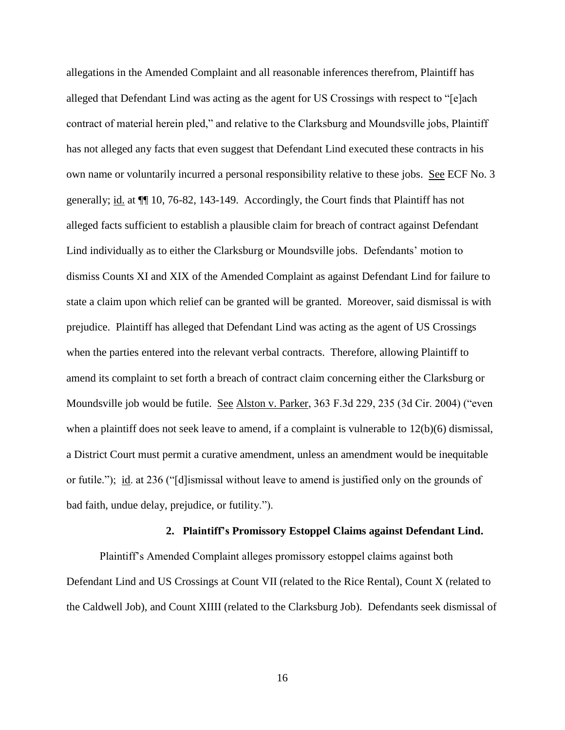allegations in the Amended Complaint and all reasonable inferences therefrom, Plaintiff has alleged that Defendant Lind was acting as the agent for US Crossings with respect to "[e]ach contract of material herein pled," and relative to the Clarksburg and Moundsville jobs, Plaintiff has not alleged any facts that even suggest that Defendant Lind executed these contracts in his own name or voluntarily incurred a personal responsibility relative to these jobs. See ECF No. 3 generally; id. at ¶¶ 10, 76-82, 143-149. Accordingly, the Court finds that Plaintiff has not alleged facts sufficient to establish a plausible claim for breach of contract against Defendant Lind individually as to either the Clarksburg or Moundsville jobs. Defendants' motion to dismiss Counts XI and XIX of the Amended Complaint as against Defendant Lind for failure to state a claim upon which relief can be granted will be granted. Moreover, said dismissal is with prejudice. Plaintiff has alleged that Defendant Lind was acting as the agent of US Crossings when the parties entered into the relevant verbal contracts. Therefore, allowing Plaintiff to amend its complaint to set forth a breach of contract claim concerning either the Clarksburg or Moundsville job would be futile. See Alston v. Parker, 363 F.3d 229, 235 (3d Cir. 2004) ("even when a plaintiff does not seek leave to amend, if a complaint is vulnerable to  $12(b)(6)$  dismissal, a District Court must permit a curative amendment, unless an amendment would be inequitable or futile."); id. at 236 ("[d]ismissal without leave to amend is justified only on the grounds of bad faith, undue delay, prejudice, or futility.").

#### **2. Plaintiff's Promissory Estoppel Claims against Defendant Lind.**

Plaintiff's Amended Complaint alleges promissory estoppel claims against both Defendant Lind and US Crossings at Count VII (related to the Rice Rental), Count X (related to the Caldwell Job), and Count XIIII (related to the Clarksburg Job). Defendants seek dismissal of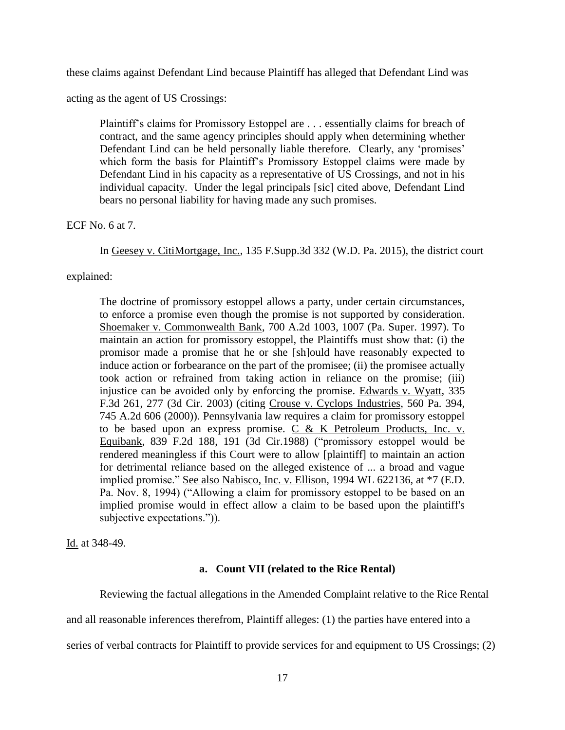these claims against Defendant Lind because Plaintiff has alleged that Defendant Lind was

acting as the agent of US Crossings:

Plaintiff's claims for Promissory Estoppel are . . . essentially claims for breach of contract, and the same agency principles should apply when determining whether Defendant Lind can be held personally liable therefore. Clearly, any 'promises' which form the basis for Plaintiff's Promissory Estoppel claims were made by Defendant Lind in his capacity as a representative of US Crossings, and not in his individual capacity. Under the legal principals [sic] cited above, Defendant Lind bears no personal liability for having made any such promises.

ECF No. 6 at 7.

In Geesey v. CitiMortgage, Inc., 135 F.Supp.3d 332 (W.D. Pa. 2015), the district court

explained:

The doctrine of promissory estoppel allows a party, under certain circumstances, to enforce a promise even though the promise is not supported by consideration. Shoemaker v. Commonwealth Bank, 700 A.2d 1003, 1007 (Pa. Super. 1997). To maintain an action for promissory estoppel, the Plaintiffs must show that: (i) the promisor made a promise that he or she [sh]ould have reasonably expected to induce action or forbearance on the part of the promisee; (ii) the promisee actually took action or refrained from taking action in reliance on the promise; (iii) injustice can be avoided only by enforcing the promise. Edwards v. Wyatt, 335 F.3d 261, 277 (3d Cir. 2003) (citing Crouse v. Cyclops Industries, 560 Pa. 394, 745 A.2d 606 (2000)). Pennsylvania law requires a claim for promissory estoppel to be based upon an express promise.  $\overrightarrow{C}$  & K Petroleum Products, Inc. v. Equibank, 839 F.2d 188, 191 (3d Cir.1988) ("promissory estoppel would be rendered meaningless if this Court were to allow [plaintiff] to maintain an action for detrimental reliance based on the alleged existence of ... a broad and vague implied promise." See also Nabisco, Inc. v. Ellison, 1994 WL 622136, at \*7 (E.D. Pa. Nov. 8, 1994) ("Allowing a claim for promissory estoppel to be based on an implied promise would in effect allow a claim to be based upon the plaintiff's subjective expectations.")).

Id. at 348-49.

## **a. Count VII (related to the Rice Rental)**

Reviewing the factual allegations in the Amended Complaint relative to the Rice Rental

and all reasonable inferences therefrom, Plaintiff alleges: (1) the parties have entered into a

series of verbal contracts for Plaintiff to provide services for and equipment to US Crossings; (2)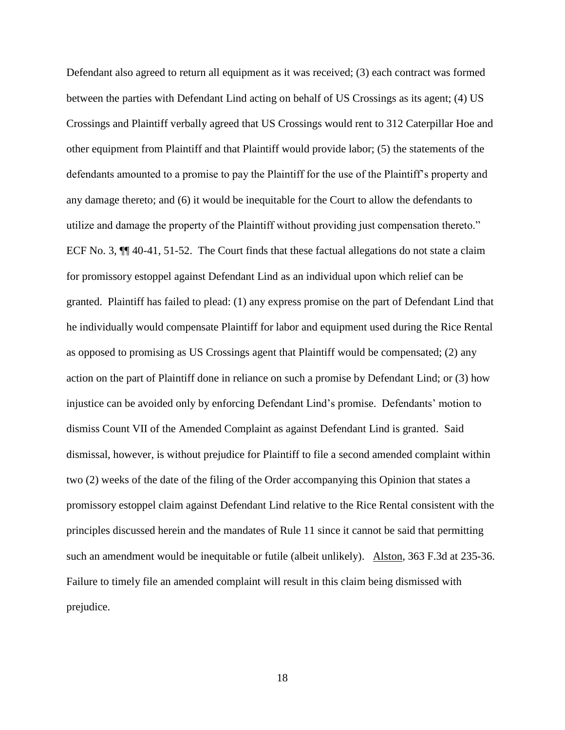Defendant also agreed to return all equipment as it was received; (3) each contract was formed between the parties with Defendant Lind acting on behalf of US Crossings as its agent; (4) US Crossings and Plaintiff verbally agreed that US Crossings would rent to 312 Caterpillar Hoe and other equipment from Plaintiff and that Plaintiff would provide labor; (5) the statements of the defendants amounted to a promise to pay the Plaintiff for the use of the Plaintiff's property and any damage thereto; and (6) it would be inequitable for the Court to allow the defendants to utilize and damage the property of the Plaintiff without providing just compensation thereto." ECF No. 3, ¶¶ 40-41, 51-52. The Court finds that these factual allegations do not state a claim for promissory estoppel against Defendant Lind as an individual upon which relief can be granted. Plaintiff has failed to plead: (1) any express promise on the part of Defendant Lind that he individually would compensate Plaintiff for labor and equipment used during the Rice Rental as opposed to promising as US Crossings agent that Plaintiff would be compensated; (2) any action on the part of Plaintiff done in reliance on such a promise by Defendant Lind; or (3) how injustice can be avoided only by enforcing Defendant Lind's promise. Defendants' motion to dismiss Count VII of the Amended Complaint as against Defendant Lind is granted. Said dismissal, however, is without prejudice for Plaintiff to file a second amended complaint within two (2) weeks of the date of the filing of the Order accompanying this Opinion that states a promissory estoppel claim against Defendant Lind relative to the Rice Rental consistent with the principles discussed herein and the mandates of Rule 11 since it cannot be said that permitting such an amendment would be inequitable or futile (albeit unlikely). Alston, 363 F.3d at 235-36. Failure to timely file an amended complaint will result in this claim being dismissed with prejudice.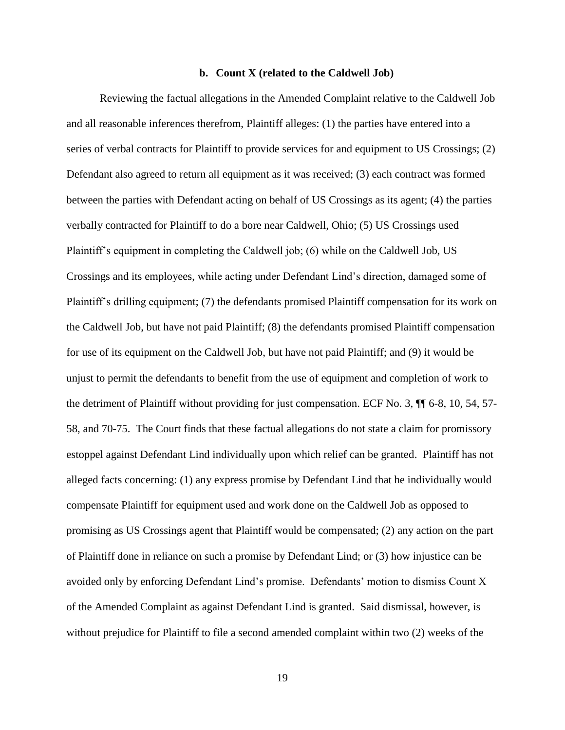#### **b. Count X (related to the Caldwell Job)**

Reviewing the factual allegations in the Amended Complaint relative to the Caldwell Job and all reasonable inferences therefrom, Plaintiff alleges: (1) the parties have entered into a series of verbal contracts for Plaintiff to provide services for and equipment to US Crossings; (2) Defendant also agreed to return all equipment as it was received; (3) each contract was formed between the parties with Defendant acting on behalf of US Crossings as its agent; (4) the parties verbally contracted for Plaintiff to do a bore near Caldwell, Ohio; (5) US Crossings used Plaintiff's equipment in completing the Caldwell job; (6) while on the Caldwell Job, US Crossings and its employees, while acting under Defendant Lind's direction, damaged some of Plaintiff's drilling equipment; (7) the defendants promised Plaintiff compensation for its work on the Caldwell Job, but have not paid Plaintiff; (8) the defendants promised Plaintiff compensation for use of its equipment on the Caldwell Job, but have not paid Plaintiff; and (9) it would be unjust to permit the defendants to benefit from the use of equipment and completion of work to the detriment of Plaintiff without providing for just compensation. ECF No. 3,  $\P$  6-8, 10, 54, 57-58, and 70-75. The Court finds that these factual allegations do not state a claim for promissory estoppel against Defendant Lind individually upon which relief can be granted. Plaintiff has not alleged facts concerning: (1) any express promise by Defendant Lind that he individually would compensate Plaintiff for equipment used and work done on the Caldwell Job as opposed to promising as US Crossings agent that Plaintiff would be compensated; (2) any action on the part of Plaintiff done in reliance on such a promise by Defendant Lind; or (3) how injustice can be avoided only by enforcing Defendant Lind's promise. Defendants' motion to dismiss Count X of the Amended Complaint as against Defendant Lind is granted. Said dismissal, however, is without prejudice for Plaintiff to file a second amended complaint within two (2) weeks of the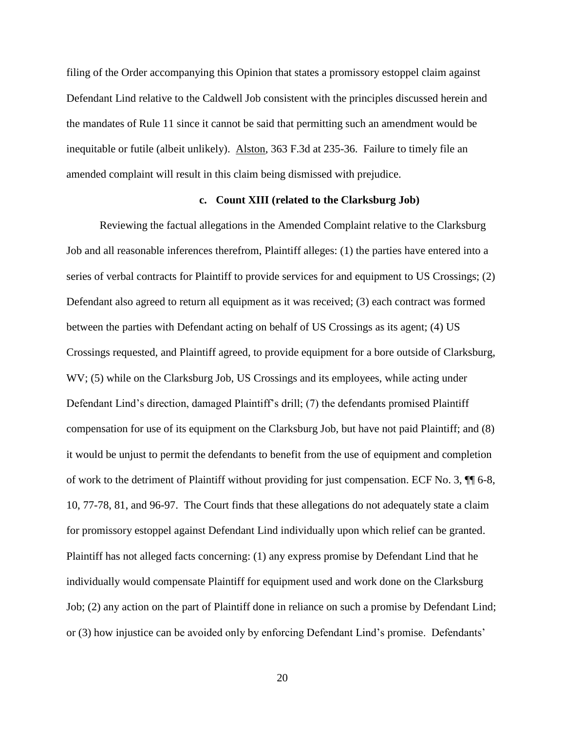filing of the Order accompanying this Opinion that states a promissory estoppel claim against Defendant Lind relative to the Caldwell Job consistent with the principles discussed herein and the mandates of Rule 11 since it cannot be said that permitting such an amendment would be inequitable or futile (albeit unlikely). Alston, 363 F.3d at 235-36. Failure to timely file an amended complaint will result in this claim being dismissed with prejudice.

# **c. Count XIII (related to the Clarksburg Job)**

Reviewing the factual allegations in the Amended Complaint relative to the Clarksburg Job and all reasonable inferences therefrom, Plaintiff alleges: (1) the parties have entered into a series of verbal contracts for Plaintiff to provide services for and equipment to US Crossings; (2) Defendant also agreed to return all equipment as it was received; (3) each contract was formed between the parties with Defendant acting on behalf of US Crossings as its agent; (4) US Crossings requested, and Plaintiff agreed, to provide equipment for a bore outside of Clarksburg, WV; (5) while on the Clarksburg Job, US Crossings and its employees, while acting under Defendant Lind's direction, damaged Plaintiff's drill; (7) the defendants promised Plaintiff compensation for use of its equipment on the Clarksburg Job, but have not paid Plaintiff; and (8) it would be unjust to permit the defendants to benefit from the use of equipment and completion of work to the detriment of Plaintiff without providing for just compensation. ECF No. 3, ¶¶ 6-8, 10, 77-78, 81, and 96-97. The Court finds that these allegations do not adequately state a claim for promissory estoppel against Defendant Lind individually upon which relief can be granted. Plaintiff has not alleged facts concerning: (1) any express promise by Defendant Lind that he individually would compensate Plaintiff for equipment used and work done on the Clarksburg Job; (2) any action on the part of Plaintiff done in reliance on such a promise by Defendant Lind; or (3) how injustice can be avoided only by enforcing Defendant Lind's promise. Defendants'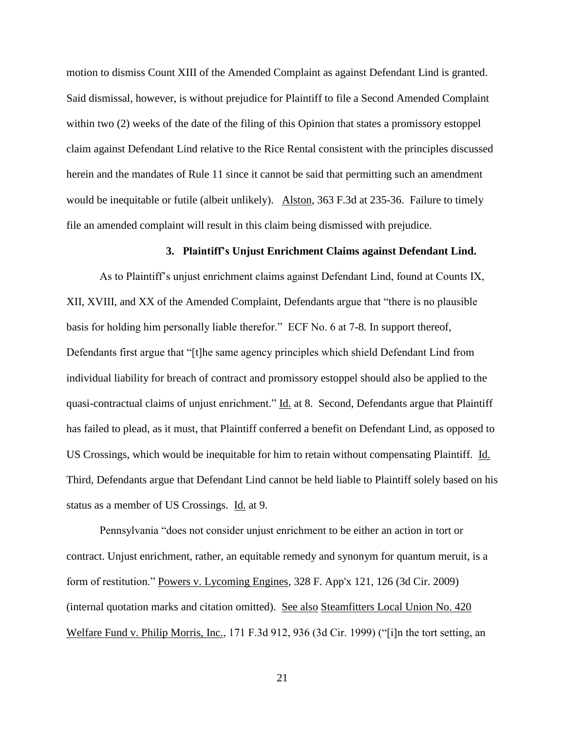motion to dismiss Count XIII of the Amended Complaint as against Defendant Lind is granted. Said dismissal, however, is without prejudice for Plaintiff to file a Second Amended Complaint within two (2) weeks of the date of the filing of this Opinion that states a promissory estoppel claim against Defendant Lind relative to the Rice Rental consistent with the principles discussed herein and the mandates of Rule 11 since it cannot be said that permitting such an amendment would be inequitable or futile (albeit unlikely). Alston, 363 F.3d at 235-36. Failure to timely file an amended complaint will result in this claim being dismissed with prejudice.

# **3. Plaintiff's Unjust Enrichment Claims against Defendant Lind.**

As to Plaintiff's unjust enrichment claims against Defendant Lind, found at Counts IX, XII, XVIII, and XX of the Amended Complaint, Defendants argue that "there is no plausible basis for holding him personally liable therefor." ECF No. 6 at 7-8. In support thereof, Defendants first argue that "[t]he same agency principles which shield Defendant Lind from individual liability for breach of contract and promissory estoppel should also be applied to the quasi-contractual claims of unjust enrichment." Id. at 8. Second, Defendants argue that Plaintiff has failed to plead, as it must, that Plaintiff conferred a benefit on Defendant Lind, as opposed to US Crossings, which would be inequitable for him to retain without compensating Plaintiff. Id. Third, Defendants argue that Defendant Lind cannot be held liable to Plaintiff solely based on his status as a member of US Crossings. Id. at 9.

Pennsylvania "does not consider unjust enrichment to be either an action in tort or contract. Unjust enrichment, rather, an equitable remedy and synonym for quantum meruit, is a form of restitution." Powers v. Lycoming Engines, 328 F. App'x 121, 126 (3d Cir. 2009) (internal quotation marks and citation omitted). See also Steamfitters Local Union No. 420 Welfare Fund v. Philip Morris, Inc., 171 F.3d 912, 936 (3d Cir. 1999) ("[i]n the tort setting, an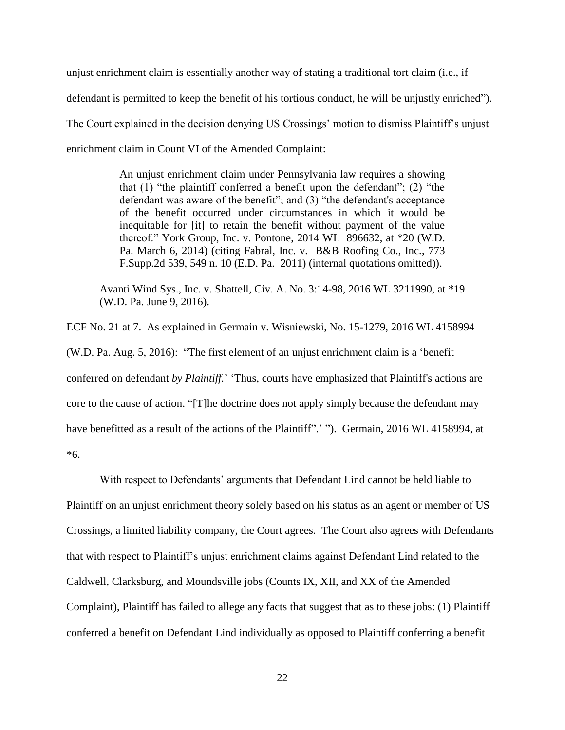unjust enrichment claim is essentially another way of stating a traditional tort claim (i.e., if defendant is permitted to keep the benefit of his tortious conduct, he will be unjustly enriched"). The Court explained in the decision denying US Crossings' motion to dismiss Plaintiff's unjust enrichment claim in Count VI of the Amended Complaint:

> An unjust enrichment claim under Pennsylvania law requires a showing that (1) "the plaintiff conferred a benefit upon the defendant"; (2) "the defendant was aware of the benefit"; and (3) "the defendant's acceptance of the benefit occurred under circumstances in which it would be inequitable for [it] to retain the benefit without payment of the value thereof." York Group, Inc. v. Pontone, 2014 WL 896632, at \*20 (W.D. Pa. March 6, 2014) (citing Fabral, Inc. v. B&B Roofing Co., Inc., 773 F.Supp.2d 539, 549 n. 10 (E.D. Pa. 2011) (internal quotations omitted)).

Avanti Wind Sys., Inc. v. Shattell, Civ. A. No. 3:14-98, 2016 WL 3211990, at \*19 (W.D. Pa. June 9, 2016).

ECF No. 21 at 7. As explained in Germain v. Wisniewski, No. 15-1279, 2016 WL 4158994 (W.D. Pa. Aug. 5, 2016): "The first element of an unjust enrichment claim is a 'benefit conferred on defendant *by Plaintiff.*' 'Thus, courts have emphasized that Plaintiff's actions are core to the cause of action. "[T]he doctrine does not apply simply because the defendant may have benefitted as a result of the actions of the Plaintiff".' "). Germain, 2016 WL 4158994, at \*6.

With respect to Defendants' arguments that Defendant Lind cannot be held liable to Plaintiff on an unjust enrichment theory solely based on his status as an agent or member of US Crossings, a limited liability company, the Court agrees. The Court also agrees with Defendants that with respect to Plaintiff's unjust enrichment claims against Defendant Lind related to the Caldwell, Clarksburg, and Moundsville jobs (Counts IX, XII, and XX of the Amended Complaint), Plaintiff has failed to allege any facts that suggest that as to these jobs: (1) Plaintiff conferred a benefit on Defendant Lind individually as opposed to Plaintiff conferring a benefit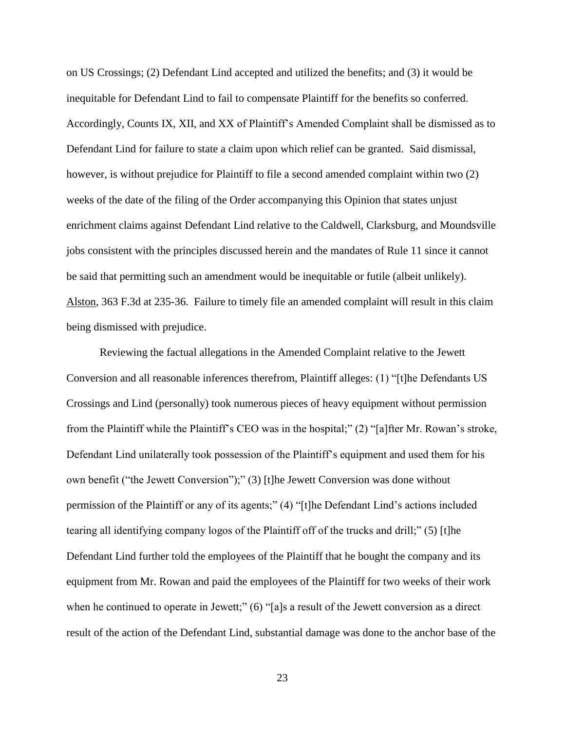on US Crossings; (2) Defendant Lind accepted and utilized the benefits; and (3) it would be inequitable for Defendant Lind to fail to compensate Plaintiff for the benefits so conferred. Accordingly, Counts IX, XII, and XX of Plaintiff's Amended Complaint shall be dismissed as to Defendant Lind for failure to state a claim upon which relief can be granted. Said dismissal, however, is without prejudice for Plaintiff to file a second amended complaint within two  $(2)$ weeks of the date of the filing of the Order accompanying this Opinion that states unjust enrichment claims against Defendant Lind relative to the Caldwell, Clarksburg, and Moundsville jobs consistent with the principles discussed herein and the mandates of Rule 11 since it cannot be said that permitting such an amendment would be inequitable or futile (albeit unlikely). Alston, 363 F.3d at 235-36. Failure to timely file an amended complaint will result in this claim being dismissed with prejudice.

Reviewing the factual allegations in the Amended Complaint relative to the Jewett Conversion and all reasonable inferences therefrom, Plaintiff alleges: (1) "[t]he Defendants US Crossings and Lind (personally) took numerous pieces of heavy equipment without permission from the Plaintiff while the Plaintiff's CEO was in the hospital;" (2) "[a]fter Mr. Rowan's stroke, Defendant Lind unilaterally took possession of the Plaintiff's equipment and used them for his own benefit ("the Jewett Conversion");" (3) [t]he Jewett Conversion was done without permission of the Plaintiff or any of its agents;" (4) "[t]he Defendant Lind's actions included tearing all identifying company logos of the Plaintiff off of the trucks and drill;" (5) [t]he Defendant Lind further told the employees of the Plaintiff that he bought the company and its equipment from Mr. Rowan and paid the employees of the Plaintiff for two weeks of their work when he continued to operate in Jewett;" (6) "[a]s a result of the Jewett conversion as a direct result of the action of the Defendant Lind, substantial damage was done to the anchor base of the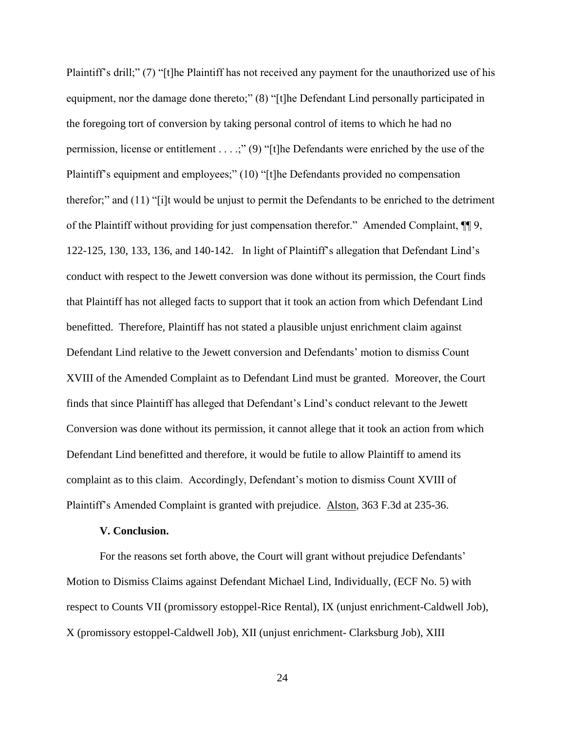Plaintiff's drill;" (7) "[t]he Plaintiff has not received any payment for the unauthorized use of his equipment, nor the damage done thereto;" (8) "[t]he Defendant Lind personally participated in the foregoing tort of conversion by taking personal control of items to which he had no permission, license or entitlement . . . .;" (9) "[t]he Defendants were enriched by the use of the Plaintiff's equipment and employees;" (10) "[t]he Defendants provided no compensation therefor;" and (11) "[i]t would be unjust to permit the Defendants to be enriched to the detriment of the Plaintiff without providing for just compensation therefor." Amended Complaint, ¶¶ 9, 122-125, 130, 133, 136, and 140-142. In light of Plaintiff's allegation that Defendant Lind's conduct with respect to the Jewett conversion was done without its permission, the Court finds that Plaintiff has not alleged facts to support that it took an action from which Defendant Lind benefitted. Therefore, Plaintiff has not stated a plausible unjust enrichment claim against Defendant Lind relative to the Jewett conversion and Defendants' motion to dismiss Count XVIII of the Amended Complaint as to Defendant Lind must be granted. Moreover, the Court finds that since Plaintiff has alleged that Defendant's Lind's conduct relevant to the Jewett Conversion was done without its permission, it cannot allege that it took an action from which Defendant Lind benefitted and therefore, it would be futile to allow Plaintiff to amend its complaint as to this claim. Accordingly, Defendant's motion to dismiss Count XVIII of Plaintiff's Amended Complaint is granted with prejudice. Alston, 363 F.3d at 235-36.

### **V. Conclusion.**

For the reasons set forth above, the Court will grant without prejudice Defendants' Motion to Dismiss Claims against Defendant Michael Lind, Individually, (ECF No. 5) with respect to Counts VII (promissory estoppel-Rice Rental), IX (unjust enrichment-Caldwell Job), X (promissory estoppel-Caldwell Job), XII (unjust enrichment- Clarksburg Job), XIII